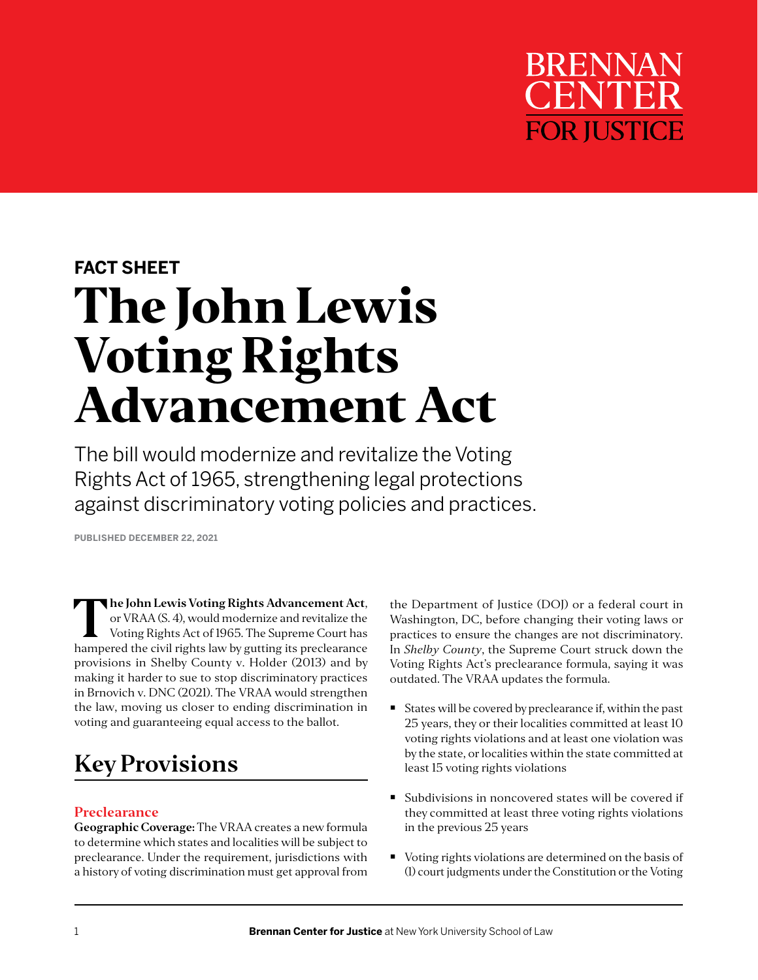

# **FACT SHEET The John Lewis Voting Rights Advancement Act**

The bill would modernize and revitalize the Voting Rights Act of 1965, strengthening legal protections against discriminatory voting policies and practices.

**PUBLISHED DECEMBER 22, 2021**

**The John Lewis Voting Rights Advancement Act**,<br>
or VRAA (S. 4), would modernize and revitalize the<br>
Voting Rights Act of 1965. The Supreme Court has<br>
harmoord the civil rights law by gutting its proclearance or VRAA (S. 4), would modernize and revitalize the hampered the civil rights law by gutting its preclearance provisions in Shelby County v. Holder (2013) and by making it harder to sue to stop discriminatory practices in Brnovich v. DNC (2021). The VRAA would strengthen the law, moving us closer to ending discrimination in voting and guaranteeing equal access to the ballot.

## **Key Provisions**

### **Preclearance**

**Geographic Coverage:** The VRAA creates a new formula to determine which states and localities will be subject to preclearance. Under the requirement, jurisdictions with a history of voting discrimination must get approval from the Department of Justice (DOJ) or a federal court in Washington, DC, before changing their voting laws or practices to ensure the changes are not discriminatory. In *Shelby County*, the Supreme Court struck down the Voting Rights Act's preclearance formula, saying it was outdated. The VRAA updates the formula.

- States will be covered by preclearance if, within the past 25 years, they or their localities committed at least 10 voting rights violations and at least one violation was by the state, or localities within the state committed at least 15 voting rights violations
- Subdivisions in noncovered states will be covered if they committed at least three voting rights violations in the previous 25 years
- Voting rights violations are determined on the basis of (1) court judgments under the Constitution or the Voting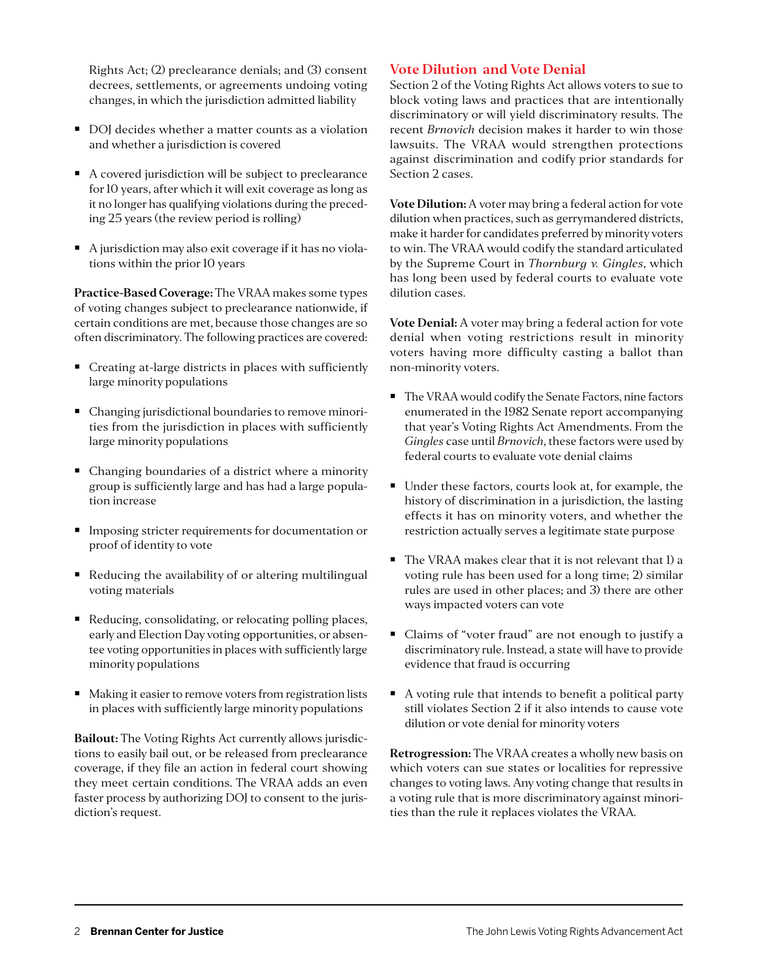Rights Act; (2) preclearance denials; and (3) consent decrees, settlements, or agreements undoing voting changes, in which the jurisdiction admitted liability

- DOJ decides whether a matter counts as a violation and whether a jurisdiction is covered
- A covered jurisdiction will be subject to preclearance for 10 years, after which it will exit coverage as long as it no longer has qualifying violations during the preceding 25 years (the review period is rolling)
- A jurisdiction may also exit coverage if it has no violations within the prior 10 years

**Practice-Based Coverage:** The VRAA makes some types of voting changes subject to preclearance nationwide, if certain conditions are met, because those changes are so often discriminatory. The following practices are covered:

- Creating at-large districts in places with sufficiently large minority populations
- Changing jurisdictional boundaries to remove minorities from the jurisdiction in places with sufficiently large minority populations
- Changing boundaries of a district where a minority group is sufficiently large and has had a large population increase
- **IMPOSING** stricter requirements for documentation or proof of identity to vote
- Reducing the availability of or altering multilingual voting materials
- Reducing, consolidating, or relocating polling places, early and Election Day voting opportunities, or absentee voting opportunities in places with sufficiently large minority populations
- Making it easier to remove voters from registration lists in places with sufficiently large minority populations

**Bailout:** The Voting Rights Act currently allows jurisdictions to easily bail out, or be released from preclearance coverage, if they file an action in federal court showing they meet certain conditions. The VRAA adds an even faster process by authorizing DOJ to consent to the jurisdiction's request.

#### **Vote Dilution and Vote Denial**

Section 2 of the Voting Rights Act allows voters to sue to block voting laws and practices that are intentionally discriminatory or will yield discriminatory results. The recent *Brnovich* decision makes it harder to win those lawsuits. The VRAA would strengthen protections against discrimination and codify prior standards for Section 2 cases.

**Vote Dilution:** A voter may bring a federal action for vote dilution when practices, such as gerrymandered districts, make it harder for candidates preferred by minority voters to win. The VRAA would codify the standard articulated by the Supreme Court in *Thornburg v. Gingles*, which has long been used by federal courts to evaluate vote dilution cases.

**Vote Denial:** A voter may bring a federal action for vote denial when voting restrictions result in minority voters having more difficulty casting a ballot than non-minority voters.

- The VRAA would codify the Senate Factors, nine factors enumerated in the 1982 Senate report accompanying that year's Voting Rights Act Amendments. From the *Gingles* case until *Brnovich*, these factors were used by federal courts to evaluate vote denial claims
- Under these factors, courts look at, for example, the history of discrimination in a jurisdiction, the lasting effects it has on minority voters, and whether the restriction actually serves a legitimate state purpose
- The VRAA makes clear that it is not relevant that 1) a voting rule has been used for a long time; 2) similar rules are used in other places; and 3) there are other ways impacted voters can vote
- Claims of "voter fraud" are not enough to justify a discriminatory rule. Instead, a state will have to provide evidence that fraud is occurring
- A voting rule that intends to benefit a political party still violates Section 2 if it also intends to cause vote dilution or vote denial for minority voters

**Retrogression:** The VRAA creates a wholly new basis on which voters can sue states or localities for repressive changes to voting laws. Any voting change that results in a voting rule that is more discriminatory against minorities than the rule it replaces violates the VRAA.